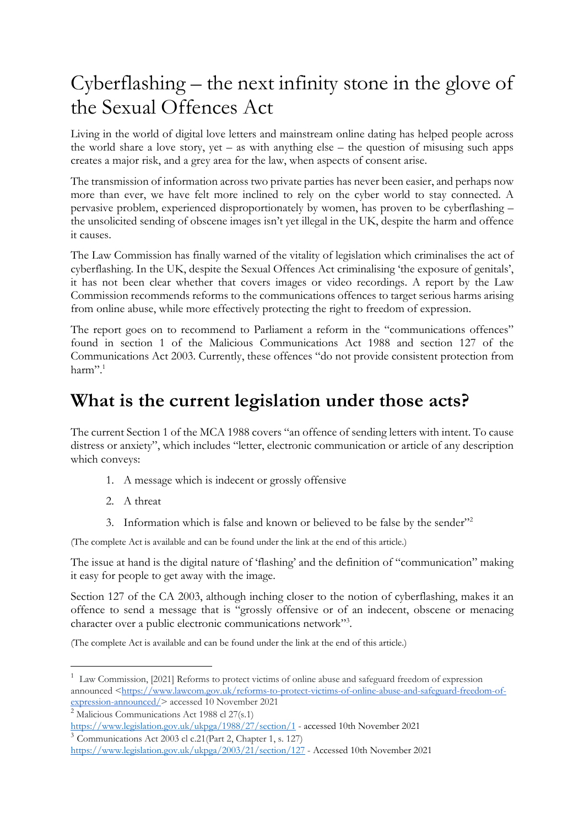# Cyberflashing – the next infinity stone in the glove of the Sexual Offences Act

Living in the world of digital love letters and mainstream online dating has helped people across the world share a love story, yet – as with anything else – the question of misusing such apps creates a major risk, and a grey area for the law, when aspects of consent arise.

The transmission of information across two private parties has never been easier, and perhaps now more than ever, we have felt more inclined to rely on the cyber world to stay connected. A pervasive problem, experienced disproportionately by women, has proven to be cyberflashing – the unsolicited sending of obscene images isn't yet illegal in the UK, despite the harm and offence it causes.

The Law Commission has finally warned of the vitality of legislation which criminalises the act of cyberflashing. In the UK, despite the Sexual Offences Act criminalising 'the exposure of genitals', it has not been clear whether that covers images or video recordings. A report by the Law Commission recommends reforms to the communications offences to target serious harms arising from online abuse, while more effectively protecting the right to freedom of expression.

The report goes on to recommend to Parliament a reform in the "communications offences" found in section 1 of the Malicious Communications Act 1988 and section 127 of the Communications Act 2003. Currently, these offences "do not provide consistent protection from harm". 1

### **What is the current legislation under those acts?**

The current Section 1 of the MCA 1988 covers "an offence of sending letters with intent. To cause distress or anxiety", which includes "letter, electronic communication or article of any description which conveys:

- 1. A message which is indecent or grossly offensive
- 2. A threat
- 3. Information which is false and known or believed to be false by the sender"2

(The complete Act is available and can be found under the link at the end of this article.)

The issue at hand is the digital nature of 'flashing' and the definition of "communication" making it easy for people to get away with the image.

Section 127 of the CA 2003, although inching closer to the notion of cyberflashing, makes it an offence to send a message that is "grossly offensive or of an indecent, obscene or menacing character over a public electronic communications network"3 .

(The complete Act is available and can be found under the link at the end of this article.)

<sup>&</sup>lt;sup>1</sup> Law Commission, [2021] Reforms to protect victims of online abuse and safeguard freedom of expression announced <https://www.lawcom.gov.uk/reforms-to-protect-victims-of-online-abuse-and-safeguard-freedom-ofexpression-announced/> accessed 10 November 2021

<sup>&</sup>lt;sup>2</sup> Malicious Communications Act 1988 cl 27(s.1)

https://www.legislation.gov.uk/ukpga/1988/27/section/1 - accessed 10th November 2021 <sup>3</sup> Communications Act 2003 cl c.21(Part 2, Chapter 1, s. 127)

https://www.legislation.gov.uk/ukpga/2003/21/section/127 - Accessed 10th November 2021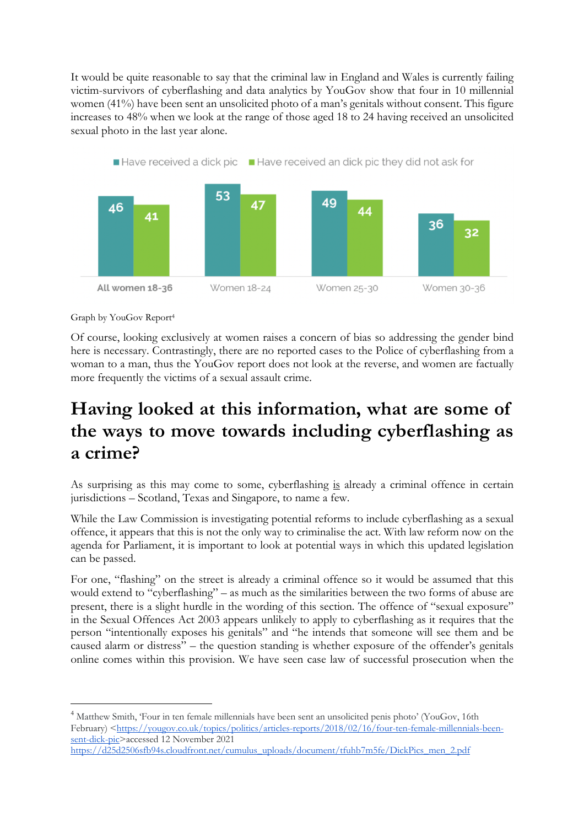It would be quite reasonable to say that the criminal law in England and Wales is currently failing victim-survivors of cyberflashing and data analytics by YouGov show that four in 10 millennial women (41%) have been sent an unsolicited photo of a man's genitals without consent. This figure increases to 48% when we look at the range of those aged 18 to 24 having received an unsolicited sexual photo in the last year alone.



#### Graph by YouGov Report4

Of course, looking exclusively at women raises a concern of bias so addressing the gender bind here is necessary. Contrastingly, there are no reported cases to the Police of cyberflashing from a woman to a man, thus the YouGov report does not look at the reverse, and women are factually more frequently the victims of a sexual assault crime.

### **Having looked at this information, what are some of the ways to move towards including cyberflashing as a crime?**

As surprising as this may come to some, cyberflashing is already a criminal offence in certain jurisdictions – Scotland, Texas and Singapore, to name a few.

While the Law Commission is investigating potential reforms to include cyberflashing as a sexual offence, it appears that this is not the only way to criminalise the act. With law reform now on the agenda for Parliament, it is important to look at potential ways in which this updated legislation can be passed.

For one, "flashing" on the street is already a criminal offence so it would be assumed that this would extend to "cyberflashing" – as much as the similarities between the two forms of abuse are present, there is a slight hurdle in the wording of this section. The offence of "sexual exposure" in the Sexual Offences Act 2003 appears unlikely to apply to cyberflashing as it requires that the person "intentionally exposes his genitals" and "he intends that someone will see them and be caused alarm or distress" – the question standing is whether exposure of the offender's genitals online comes within this provision. We have seen case law of successful prosecution when the

<sup>4</sup> Matthew Smith, 'Four in ten female millennials have been sent an unsolicited penis photo' (YouGov, 16th February) <https://yougov.co.uk/topics/politics/articles-reports/2018/02/16/four-ten-female-millennials-beensent-dick-pic>accessed 12 November 2021

https://d25d2506sfb94s.cloudfront.net/cumulus\_uploads/document/tfuhb7m5fe/DickPics\_men\_2.pdf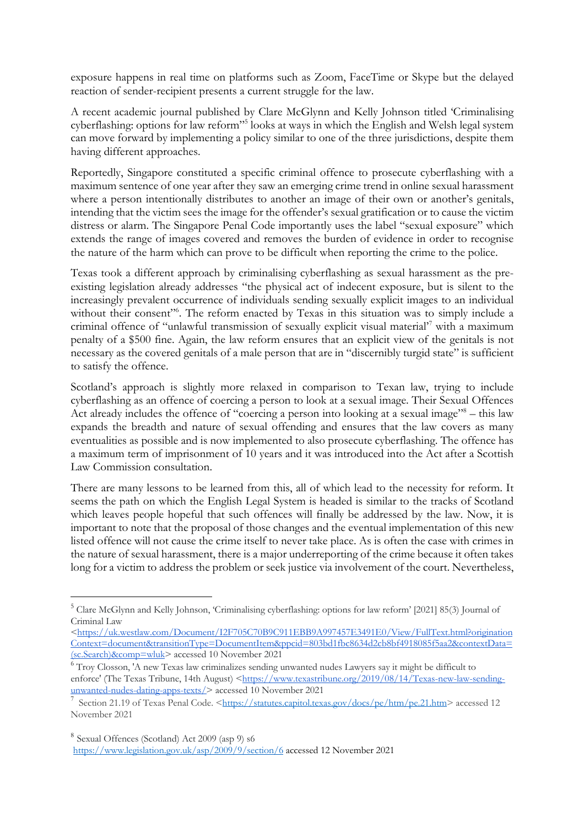exposure happens in real time on platforms such as Zoom, FaceTime or Skype but the delayed reaction of sender-recipient presents a current struggle for the law.

A recent academic journal published by Clare McGlynn and Kelly Johnson titled 'Criminalising cyberflashing: options for law reform"5 looks at ways in which the English and Welsh legal system can move forward by implementing a policy similar to one of the three jurisdictions, despite them having different approaches.

Reportedly, Singapore constituted a specific criminal offence to prosecute cyberflashing with a maximum sentence of one year after they saw an emerging crime trend in online sexual harassment where a person intentionally distributes to another an image of their own or another's genitals, intending that the victim sees the image for the offender's sexual gratification or to cause the victim distress or alarm. The Singapore Penal Code importantly uses the label "sexual exposure" which extends the range of images covered and removes the burden of evidence in order to recognise the nature of the harm which can prove to be difficult when reporting the crime to the police.

Texas took a different approach by criminalising cyberflashing as sexual harassment as the preexisting legislation already addresses "the physical act of indecent exposure, but is silent to the increasingly prevalent occurrence of individuals sending sexually explicit images to an individual without their consent"<sup>6</sup>. The reform enacted by Texas in this situation was to simply include a criminal offence of "unlawful transmission of sexually explicit visual material'7 with a maximum penalty of a \$500 fine. Again, the law reform ensures that an explicit view of the genitals is not necessary as the covered genitals of a male person that are in "discernibly turgid state" is sufficient to satisfy the offence.

Scotland's approach is slightly more relaxed in comparison to Texan law, trying to include cyberflashing as an offence of coercing a person to look at a sexual image. Their Sexual Offences Act already includes the offence of "coercing a person into looking at a sexual image"<sup>8</sup> – this law expands the breadth and nature of sexual offending and ensures that the law covers as many eventualities as possible and is now implemented to also prosecute cyberflashing. The offence has a maximum term of imprisonment of 10 years and it was introduced into the Act after a Scottish Law Commission consultation.

There are many lessons to be learned from this, all of which lead to the necessity for reform. It seems the path on which the English Legal System is headed is similar to the tracks of Scotland which leaves people hopeful that such offences will finally be addressed by the law. Now, it is important to note that the proposal of those changes and the eventual implementation of this new listed offence will not cause the crime itself to never take place. As is often the case with crimes in the nature of sexual harassment, there is a major underreporting of the crime because it often takes long for a victim to address the problem or seek justice via involvement of the court. Nevertheless,

<sup>5</sup> Clare McGlynn and Kelly Johnson, 'Criminalising cyberflashing: options for law reform' [2021] 85(3) Journal of Criminal Law

<sup>&</sup>lt;https://uk.westlaw.com/Document/I2F705C70B9C911EBB9A997457E3491E0/View/FullText.html?origination Context=document&transitionType=DocumentItem&ppcid=803bd1fbc8634d2cb8bf4918085f5aa2&contextData= (sc.Search)&comp=wluk> accessed 10 November 2021

<sup>&</sup>lt;sup>6</sup> Troy Closson, 'A new Texas law criminalizes sending unwanted nudes Lawyers say it might be difficult to enforce' (The Texas Tribune, 14th August) <https://www.texastribune.org/2019/08/14/Texas-new-law-sendingunwanted-nudes-dating-apps-texts/> accessed 10 November 2021

<sup>7</sup> Section 21.19 of Texas Penal Code. <https://statutes.capitol.texas.gov/docs/pe/htm/pe.21.htm> accessed 12 November 2021

<sup>8</sup> Sexual Offences (Scotland) Act 2009 (asp 9) s6 https://www.legislation.gov.uk/asp/2009/9/section/6 accessed 12 November 2021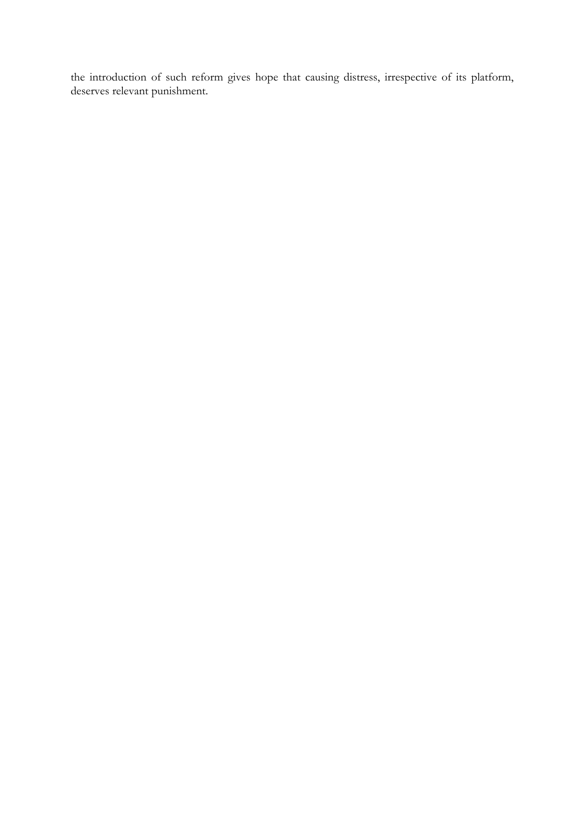the introduction of such reform gives hope that causing distress, irrespective of its platform, deserves relevant punishment.